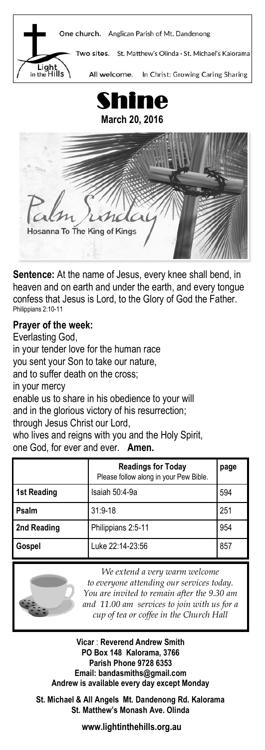



**Sentence:** At the name of Jesus, every knee shall bend, in heaven and on earth and under the earth, and every tongue confess that Jesus is Lord, to the Glory of God the Father. Philippians 2:10-11

#### **Prayer of the week:**

Everlasting God, in your tender love for the human race you sent your Son to take our nature, and to suffer death on the cross; in your mercy enable us to share in his obedience to your will and in the glorious victory of his resurrection; through Jesus Christ our Lord, who lives and reigns with you and the Holy Spirit. one God, for ever and ever. **Amen.**

|             | <b>Readings for Today</b><br>Please follow along in your Pew Bible. | page |
|-------------|---------------------------------------------------------------------|------|
| 1st Reading | Isaiah 50:4-9a                                                      | 594  |
| Psalm       | $31:9 - 18$                                                         | 251  |
| 2nd Reading | Philippians 2:5-11                                                  | 954  |
| Gospel      | Luke 22:14-23:56                                                    | 857  |



*We extend a very warm welcome to everyone attending our services today. You are invited to remain after the 9.30 am and 11.00 am services to join with us for a cup of tea or coffee in the Church Hall*

**Vicar** : **Reverend Andrew Smith PO Box 148 Kalorama, 3766 Parish Phone 9728 6353 Email: bandasmiths@gmail.com Andrew is available every day except Monday**

**St. Michael & All Angels Mt. Dandenong Rd. Kalorama St. Matthew's Monash Ave. Olinda**

**www.lightinthehills.org.au**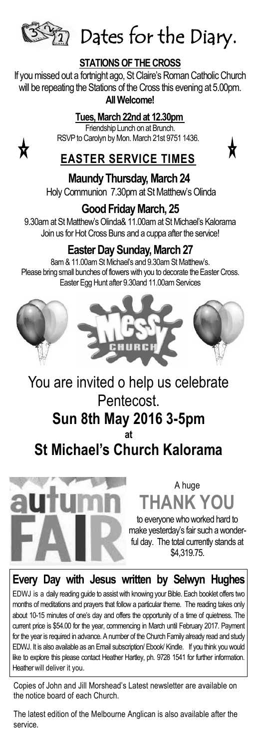

 $\mathbb{Z}_{2}$  Dates for the Diary.

## **STATIONS OF THE CROSS**

If you missed out a fortnight ago, St Claire's Roman Catholic Church will be repeating the Stations of the Cross this evening at 5.00pm. **All Welcome!**

#### **Tues, March 22nd at 12.30pm**

Friendship Lunch on at Brunch. RSVP to Carolyn by Mon. March 21st 9751 1436.



## **EASTER SERVICE TIMES**

**Maundy Thursday, March 24** Holy Communion 7.30pm at St Matthew's Olinda

## **Good Friday March, 25**

9.30am at St Matthew's Olinda& 11.00am at St Michael's Kalorama Join us for Hot Cross Buns and a cuppa after the service!

## **Easter Day Sunday, March 27**

8am & 11.00am St Michael's and 9.30am St Matthew's. Please bring small bunches of flowers with you to decorate the Easter Cross. Easter Egg Hunt after 9.30and 11.00am Services



## You are invited o help us celebrate Pentecost.

#### **Sun 8th May 2016 3-5pm at**

## **St Michael's Church Kalorama**



## A huge **THANK YOU**  to everyone who worked hard to

make yesterday's fair such a wonderful day. The total currently stands at \$4,319.75.

## **Every Day with Jesus written by Selwyn Hughes**

EDWJ is a daily reading guide to assist with knowing your Bible. Each booklet offers two months of meditations and prayers that follow a particular theme. The reading takes only about 10-15 minutes of one's day and offers the opportunity of a time of quietness. The current price is \$54.00 for the year, commencing in March until February 2017. Payment for the year is required in advance. A number of the Church Family already read and study EDWJ. It is also available as an Email subscription/ Ebook/ Kindle. If you think you would like to explore this please contact Heather Hartley, ph. 9728 1541 for further information. Heather will deliver it you.

Copies of John and Jill Morshead's Latest newsletter are available on the notice board of each Church.

The latest edition of the Melbourne Anglican is also available after the service.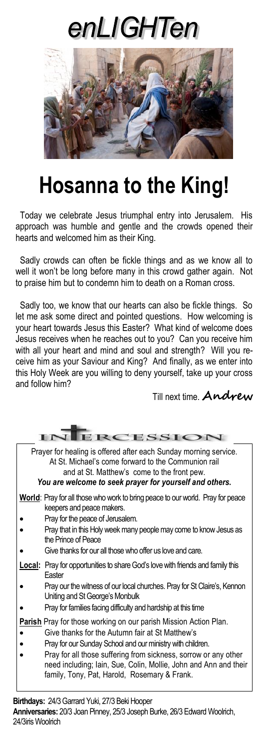# enLIGHTen



# **Hosanna to the King!**

 Today we celebrate Jesus triumphal entry into Jerusalem. His approach was humble and gentle and the crowds opened their hearts and welcomed him as their King.

 Sadly crowds can often be fickle things and as we know all to well it won't be long before many in this crowd gather again. Not to praise him but to condemn him to death on a Roman cross.

 Sadly too, we know that our hearts can also be fickle things. So let me ask some direct and pointed questions. How welcoming is your heart towards Jesus this Easter? What kind of welcome does Jesus receives when he reaches out to you? Can you receive him with all your heart and mind and soul and strength? Will you receive him as your Saviour and King? And finally, as we enter into this Holy Week are you willing to deny yourself, take up your cross and follow him?

Till next time. **Andrew**

|                                                                                                                                                                                                                                   | ERCESSION                                                                                                                                                                                                                                                                                                                                                                |  |  |  |
|-----------------------------------------------------------------------------------------------------------------------------------------------------------------------------------------------------------------------------------|--------------------------------------------------------------------------------------------------------------------------------------------------------------------------------------------------------------------------------------------------------------------------------------------------------------------------------------------------------------------------|--|--|--|
| Prayer for healing is offered after each Sunday morning service.<br>At St. Michael's come forward to the Communion rail<br>and at St. Matthew's come to the front pew.<br>You are welcome to seek prayer for yourself and others. |                                                                                                                                                                                                                                                                                                                                                                          |  |  |  |
|                                                                                                                                                                                                                                   | World: Pray for all those who work to bring peace to our world. Pray for peace<br>keepers and peace makers.<br>Pray for the peace of Jerusalem.<br>Pray that in this Holy week many people may come to know Jesus as<br>the Prince of Peace<br>Give thanks for our all those who offer us love and care.                                                                 |  |  |  |
|                                                                                                                                                                                                                                   | <b>Local:</b> Pray for opportunities to share God's love with friends and family this<br>Faster                                                                                                                                                                                                                                                                          |  |  |  |
|                                                                                                                                                                                                                                   | Pray our the witness of our local churches. Pray for St Claire's, Kennon<br>Uniting and St George's Monbulk<br>Pray for families facing difficulty and hardship at this time                                                                                                                                                                                             |  |  |  |
|                                                                                                                                                                                                                                   | Parish Pray for those working on our parish Mission Action Plan.<br>Give thanks for the Autumn fair at St Matthew's<br>Pray for our Sunday School and our ministry with children.<br>Pray for all those suffering from sickness, sorrow or any other<br>need including; Iain, Sue, Colin, Mollie, John and Ann and their<br>family, Tony, Pat, Harold, Rosemary & Frank. |  |  |  |